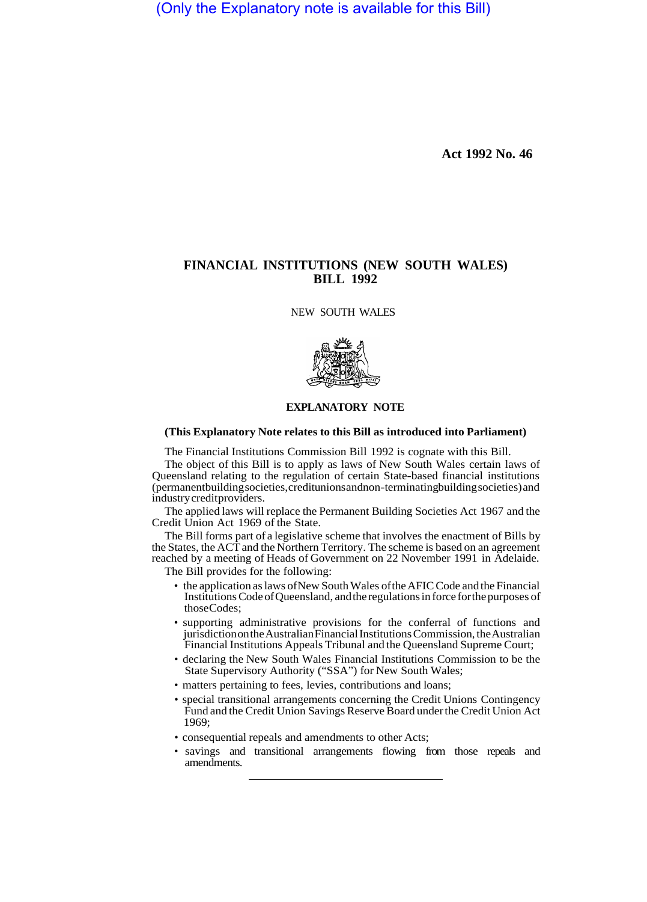(Only the Explanatory note is available for this Bill)

**Act 1992 No. 46**

# **FINANCIAL INSTITUTIONS (NEW SOUTH WALES) BILL 1992**

NEW SOUTH WALES



### **EXPLANATORY NOTE**

#### **(This Explanatory Note relates to this Bill as introduced into Parliament)**

The Financial Institutions Commission Bill 1992 is cognate with this Bill.

The object of this Bill is to apply as laws of New South Wales certain laws of Queensland relating to the regulation of certain State-based financial institutions (permanent building societies, credit unions and non-terminating building societies) and industry credit providers.

The applied laws will replace the Permanent Building Societies Act 1967 and the Credit Union Act 1969 of the State.

The Bill forms part of a legislative scheme that involves the enactment of Bills by the States, the ACT and the Northern Territory. The scheme is based on an agreement reached by a meeting of Heads of Government on 22 November 1991 in Adelaide. The Bill provides for the following:

- the application as laws of New South Wales of the AFIC Code and the Financial Institutions Code of Queensland, and the regulations in force for the purposes of those Codes;
- supporting administrative provisions for the conferral of functions and jurisdiction on the Australian Financial Institutions Commission, the Australian Financial Institutions Appeals Tribunal and the Queensland Supreme Court;
- declaring the New South Wales Financial Institutions Commission to be the State Supervisory Authority ("SSA") for New South Wales;
- matters pertaining to fees, levies, contributions and loans;
- special transitional arrangements concerning the Credit Unions Contingency Fund and the Credit Union Savings Reserve Board under the Credit Union Act 1969;
- consequential repeals and amendments to other Acts;
- savings and transitional arrangements flowing from those repeals and amendments.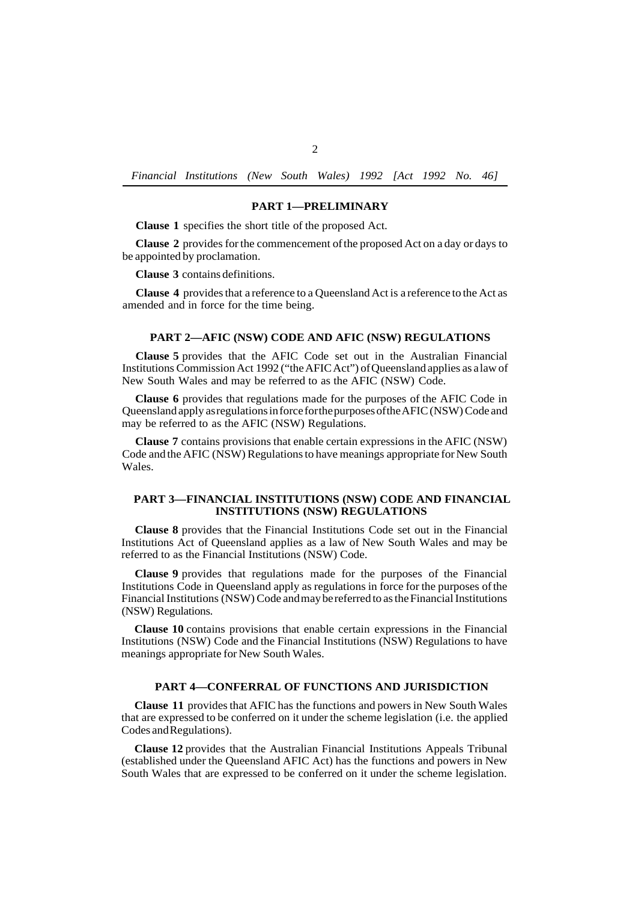*Financial Institutions (New South Wales) 1992 [Act 1992 No. 46]* 

### **PART 1—PRELIMINARY**

**Clause 1** specifies the short title of the proposed Act.

**Clause 2** provides for the commencement of the proposed Act on a day or days to be appointed by proclamation.

**Clause 3** contains definitions.

**Clause 4** provides that a reference to a Queensland Act is a reference to the Act as amended and in force for the time being.

### **PART 2—AFIC (NSW) CODE AND AFIC (NSW) REGULATIONS**

**Clause 5** provides that the AFIC Code set out in the Australian Financial Institutions Commission Act 1992 ("the AFIC Act") of Queensland applies as a law of New South Wales and may be referred to as the AFIC (NSW) Code.

**Clause 6** provides that regulations made for the purposes of the AFIC Code in Queensland apply as regulations in force for the purposes of the AFIC (NSW) Code and may be referred to as the AFIC (NSW) Regulations.

**Clause 7** contains provisions that enable certain expressions in the AFIC (NSW) Code and the AFIC (NSW) Regulations to have meanings appropriate for New South Wales.

### **PART 3—FINANCIAL INSTITUTIONS (NSW) CODE AND FINANCIAL INSTITUTIONS (NSW) REGULATIONS**

**Clause 8** provides that the Financial Institutions Code set out in the Financial Institutions Act of Queensland applies as a law of New South Wales and may be referred to as the Financial Institutions (NSW) Code.

**Clause 9** provides that regulations made for the purposes of the Financial Institutions Code in Queensland apply as regulations in force for the purposes of the Financial Institutions (NSW) Code and may be referred to as the Financial Institutions (NSW) Regulations.

**Clause 10** contains provisions that enable certain expressions in the Financial Institutions (NSW) Code and the Financial Institutions (NSW) Regulations to have meanings appropriate for New South Wales.

## **PART 4—CONFERRAL OF FUNCTIONS AND JURISDICTION**

**Clause 11** provides that AFIC has the functions and powers in New South Wales that are expressed to be conferred on it under the scheme legislation (i.e. the applied Codes and Regulations).

**Clause 12** provides that the Australian Financial Institutions Appeals Tribunal (established under the Queensland AFIC Act) has the functions and powers in New South Wales that are expressed to be conferred on it under the scheme legislation.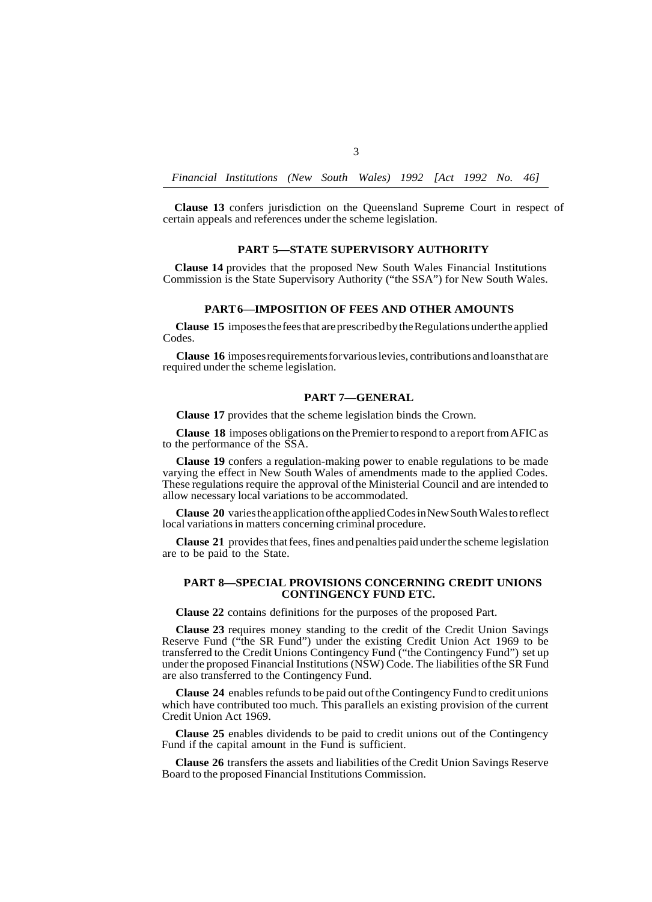*Financial Institutions (New South Wales) 1992 [Act 1992 No. 46]* 

3

**Clause 13** confers jurisdiction on the Queensland Supreme Court in respect of certain appeals and references under the scheme legislation.

### **PART 5—STATE SUPERVISORY AUTHORITY**

**Clause 14** provides that the proposed New South Wales Financial Institutions Commission is the State Supervisory Authority ("the SSA") for New South Wales.

### **PART 6—IMPOSITION OF FEES AND OTHER AMOUNTS**

**Clause 15** imposes the fees that are prescribed by the Regulations under the applied Codes.

**Clause 16** imposes requirements for various levies, contributions and loans that are required under the scheme legislation.

### **PART 7—GENERAL**

**Clause 17** provides that the scheme legislation binds the Crown.

**Clause 18** imposes obligations on the Premier to respond to a report from AFIC as to the performance of the SSA.

**Clause 19** confers a regulation-making power to enable regulations to be made varying the effect in New South Wales of amendments made to the applied Codes. These regulations require the approval of the Ministerial Council and are intended to allow necessary local variations to be accommodated.

**Clause 20** varies the application of the applied Codes in New South Wales to reflect local variations in matters concerning criminal procedure.

**Clause 21** provides that fees, fines and penalties paid under the scheme legislation are to be paid to the State.

### **PART 8—SPECIAL PROVISIONS CONCERNING CREDIT UNIONS CONTINGENCY FUND ETC.**

**Clause 22** contains definitions for the purposes of the proposed Part.

**Clause 23** requires money standing to the credit of the Credit Union Savings Reserve Fund ("the SR Fund") under the existing Credit Union Act 1969 to be transferred to the Credit Unions Contingency Fund ("the Contingency Fund") set up under the proposed Financial Institutions (NSW) Code. The liabilities of the SR Fund are also transferred to the Contingency Fund.

**Clause 24** enables refunds to be paid out of the Contingency Fund to credit unions which have contributed too much. This paraIlels an existing provision of the current Credit Union Act 1969.

**Clause 25** enables dividends to be paid to credit unions out of the Contingency Fund if the capital amount in the Fund is sufficient.

**Clause 26** transfers the assets and liabilities of the Credit Union Savings Reserve Board to the proposed Financial Institutions Commission.